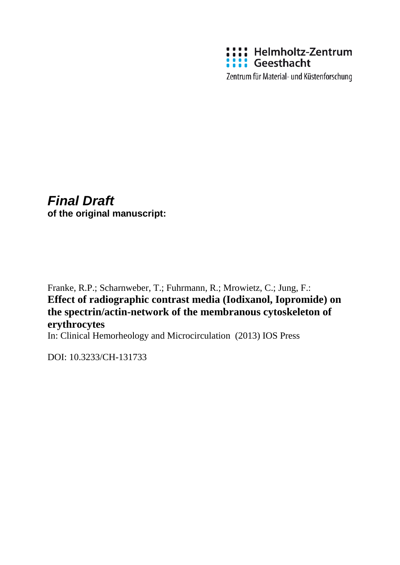

Zentrum für Material- und Küstenforschung

# *Final Draft*

**of the original manuscript:**

Franke, R.P.; Scharnweber, T.; Fuhrmann, R.; Mrowietz, C.; Jung, F.: **Effect of radiographic contrast media (Iodixanol, Iopromide) on the spectrin/actin-network of the membranous cytoskeleton of erythrocytes**

In: Clinical Hemorheology and Microcirculation (2013) IOS Press

DOI: 10.3233/CH-131733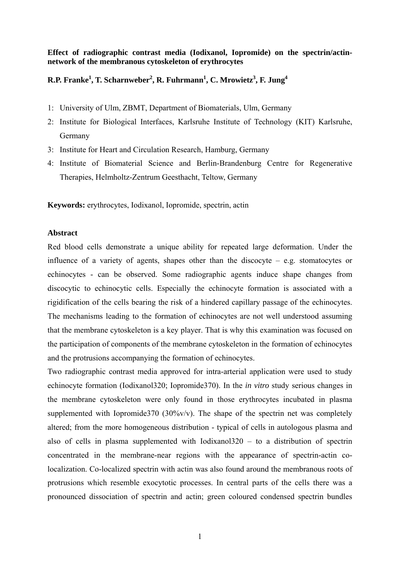# **Effect of radiographic contrast media (Iodixanol, Iopromide) on the spectrin/actinnetwork of the membranous cytoskeleton of erythrocytes**

# $R.P.$  Franke<sup>1</sup>, T. Scharnweber<sup>2</sup>, R. Fuhrmann<sup>1</sup>, C. Mrowietz<sup>3</sup>, F. Jung<sup>4</sup>

- 1: University of Ulm, ZBMT, Department of Biomaterials, Ulm, Germany
- 2: Institute for Biological Interfaces, Karlsruhe Institute of Technology (KIT) Karlsruhe, Germany
- 3: Institute for Heart and Circulation Research, Hamburg, Germany
- 4: Institute of Biomaterial Science and Berlin-Brandenburg Centre for Regenerative Therapies, Helmholtz-Zentrum Geesthacht, Teltow, Germany

**Keywords:** erythrocytes, Iodixanol, Iopromide, spectrin, actin

# **Abstract**

Red blood cells demonstrate a unique ability for repeated large deformation. Under the influence of a variety of agents, shapes other than the discocyte – e.g. stomatocytes or echinocytes - can be observed. Some radiographic agents induce shape changes from discocytic to echinocytic cells. Especially the echinocyte formation is associated with a rigidification of the cells bearing the risk of a hindered capillary passage of the echinocytes. The mechanisms leading to the formation of echinocytes are not well understood assuming that the membrane cytoskeleton is a key player. That is why this examination was focused on the participation of components of the membrane cytoskeleton in the formation of echinocytes and the protrusions accompanying the formation of echinocytes.

Two radiographic contrast media approved for intra-arterial application were used to study echinocyte formation (Iodixanol320; Iopromide370). In the *in vitro* study serious changes in the membrane cytoskeleton were only found in those erythrocytes incubated in plasma supplemented with Iopromide370 (30%v/v). The shape of the spectrin net was completely altered; from the more homogeneous distribution - typical of cells in autologous plasma and also of cells in plasma supplemented with Iodixanol320 – to a distribution of spectrin concentrated in the membrane-near regions with the appearance of spectrin-actin colocalization. Co-localized spectrin with actin was also found around the membranous roots of protrusions which resemble exocytotic processes. In central parts of the cells there was a pronounced dissociation of spectrin and actin; green coloured condensed spectrin bundles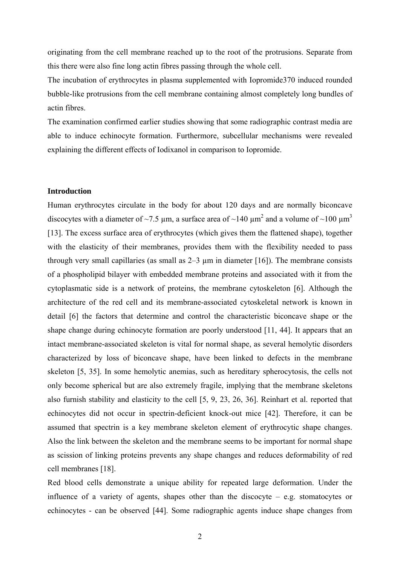originating from the cell membrane reached up to the root of the protrusions. Separate from this there were also fine long actin fibres passing through the whole cell.

The incubation of erythrocytes in plasma supplemented with Iopromide370 induced rounded bubble-like protrusions from the cell membrane containing almost completely long bundles of actin fibres.

The examination confirmed earlier studies showing that some radiographic contrast media are able to induce echinocyte formation. Furthermore, subcellular mechanisms were revealed explaining the different effects of Iodixanol in comparison to Iopromide.

#### **Introduction**

Human erythrocytes circulate in the body for about 120 days and are normally biconcave discocytes with a diameter of ~7.5 µm, a surface area of ~140 µm<sup>2</sup> and a volume of ~100 µm<sup>3</sup> [13]. The excess surface area of erythrocytes (which gives them the flattened shape), together with the elasticity of their membranes, provides them with the flexibility needed to pass through very small capillaries (as small as  $2-3 \mu$  m in diameter [16]). The membrane consists of a phospholipid bilayer with embedded membrane proteins and associated with it from the cytoplasmatic side is a network of proteins, the membrane cytoskeleton [6]. Although the architecture of the red cell and its membrane-associated cytoskeletal network is known in detail [6] the factors that determine and control the characteristic biconcave shape or the shape change during echinocyte formation are poorly understood [11, 44]. It appears that an intact membrane-associated skeleton is vital for normal shape, as several hemolytic disorders characterized by loss of biconcave shape, have been linked to defects in the membrane skeleton [5, 35]. In some hemolytic anemias, such as hereditary spherocytosis, the cells not only become spherical but are also extremely fragile, implying that the membrane skeletons also furnish stability and elasticity to the cell [5, 9, 23, 26, 36]. Reinhart et al. reported that echinocytes did not occur in spectrin-deficient knock-out mice [42]. Therefore, it can be assumed that spectrin is a key membrane skeleton element of erythrocytic shape changes. Also the link between the skeleton and the membrane seems to be important for normal shape as scission of linking proteins prevents any shape changes and reduces deformability of red cell membranes [18].

Red blood cells demonstrate a unique ability for repeated large deformation. Under the influence of a variety of agents, shapes other than the discocyte – e.g. stomatocytes or echinocytes - can be observed [44]. Some radiographic agents induce shape changes from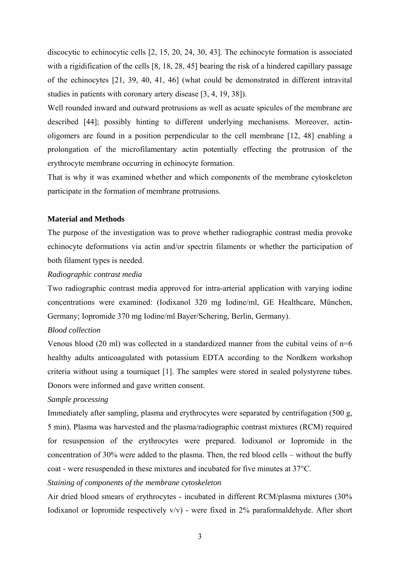discocytic to echinocytic cells [2, 15, 20, 24, 30, 43]. The echinocyte formation is associated with a rigidification of the cells [8, 18, 28, 45] bearing the risk of a hindered capillary passage of the echinocytes [21, 39, 40, 41, 46] (what could be demonstrated in different intravital studies in patients with coronary artery disease [3, 4, 19, 38]).

Well rounded inward and outward protrusions as well as acuate spicules of the membrane are described [44]; possibly hinting to different underlying mechanisms. Moreover, actinoligomers are found in a position perpendicular to the cell membrane [12, 48] enabling a prolongation of the microfilamentary actin potentially effecting the protrusion of the erythrocyte membrane occurring in echinocyte formation.

That is why it was examined whether and which components of the membrane cytoskeleton participate in the formation of membrane protrusions.

#### **Material and Methods**

The purpose of the investigation was to prove whether radiographic contrast media provoke echinocyte deformations via actin and/or spectrin filaments or whether the participation of both filament types is needed.

#### *Radiographic contrast media*

Two radiographic contrast media approved for intra-arterial application with varying iodine concentrations were examined: (Iodixanol 320 mg Iodine/ml, GE Healthcare, München, Germany; Iopromide 370 mg Iodine/ml Bayer/Schering, Berlin, Germany).

#### *Blood collection*

Venous blood (20 ml) was collected in a standardized manner from the cubital veins of  $n=6$ healthy adults anticoagulated with potassium EDTA according to the Nordkem workshop criteria without using a tourniquet [1]. The samples were stored in sealed polystyrene tubes. Donors were informed and gave written consent.

#### *Sample processing*

Immediately after sampling, plasma and erythrocytes were separated by centrifugation (500 g, 5 min). Plasma was harvested and the plasma/radiographic contrast mixtures (RCM) required for resuspension of the erythrocytes were prepared. Iodixanol or Iopromide in the concentration of 30% were added to the plasma. Then, the red blood cells – without the buffy coat - were resuspended in these mixtures and incubated for five minutes at 37°C.

## *Staining of components of the membrane cytoskeleton*

Air dried blood smears of erythrocytes - incubated in different RCM/plasma mixtures (30% Iodixanol or Iopromide respectively  $v/v$ ) - were fixed in 2% paraformaldehyde. After short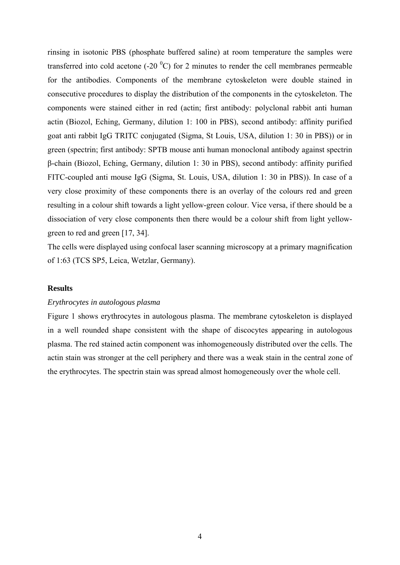rinsing in isotonic PBS (phosphate buffered saline) at room temperature the samples were transferred into cold acetone (-20  $^{0}$ C) for 2 minutes to render the cell membranes permeable for the antibodies. Components of the membrane cytoskeleton were double stained in consecutive procedures to display the distribution of the components in the cytoskeleton. The components were stained either in red (actin; first antibody: polyclonal rabbit anti human actin (Biozol, Eching, Germany, dilution 1: 100 in PBS), second antibody: affinity purified goat anti rabbit IgG TRITC conjugated (Sigma, St Louis, USA, dilution 1: 30 in PBS)) or in green (spectrin; first antibody: SPTB mouse anti human monoclonal antibody against spectrin β-chain (Biozol, Eching, Germany, dilution 1: 30 in PBS), second antibody: affinity purified FITC-coupled anti mouse IgG (Sigma, St. Louis, USA, dilution 1: 30 in PBS)). In case of a very close proximity of these components there is an overlay of the colours red and green resulting in a colour shift towards a light yellow-green colour. Vice versa, if there should be a dissociation of very close components then there would be a colour shift from light yellowgreen to red and green [17, 34].

The cells were displayed using confocal laser scanning microscopy at a primary magnification of 1:63 (TCS SP5, Leica, Wetzlar, Germany).

#### **Results**

#### *Erythrocytes in autologous plasma*

Figure 1 shows erythrocytes in autologous plasma. The membrane cytoskeleton is displayed in a well rounded shape consistent with the shape of discocytes appearing in autologous plasma. The red stained actin component was inhomogeneously distributed over the cells. The actin stain was stronger at the cell periphery and there was a weak stain in the central zone of the erythrocytes. The spectrin stain was spread almost homogeneously over the whole cell.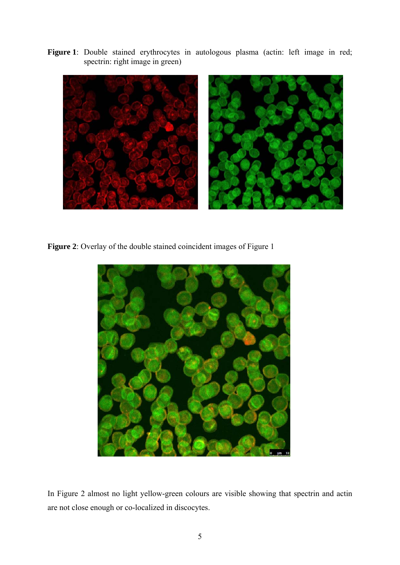Figure 1: Double stained erythrocytes in autologous plasma (actin: left image in red; spectrin: right image in green)



**Figure 2**: Overlay of the double stained coincident images of Figure 1



In Figure 2 almost no light yellow-green colours are visible showing that spectrin and actin are not close enough or co-localized in discocytes.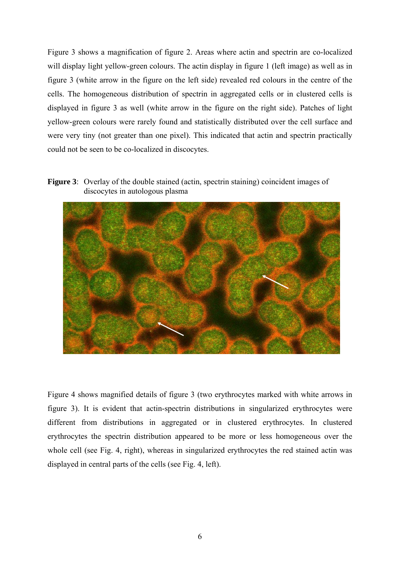Figure 3 shows a magnification of figure 2. Areas where actin and spectrin are co-localized will display light yellow-green colours. The actin display in figure 1 (left image) as well as in figure 3 (white arrow in the figure on the left side) revealed red colours in the centre of the cells. The homogeneous distribution of spectrin in aggregated cells or in clustered cells is displayed in figure 3 as well (white arrow in the figure on the right side). Patches of light yellow-green colours were rarely found and statistically distributed over the cell surface and were very tiny (not greater than one pixel). This indicated that actin and spectrin practically could not be seen to be co-localized in discocytes.

**Figure 3**: Overlay of the double stained (actin, spectrin staining) coincident images of discocytes in autologous plasma



Figure 4 shows magnified details of figure 3 (two erythrocytes marked with white arrows in figure 3). It is evident that actin-spectrin distributions in singularized erythrocytes were different from distributions in aggregated or in clustered erythrocytes. In clustered erythrocytes the spectrin distribution appeared to be more or less homogeneous over the whole cell (see Fig. 4, right), whereas in singularized erythrocytes the red stained actin was displayed in central parts of the cells (see Fig. 4, left).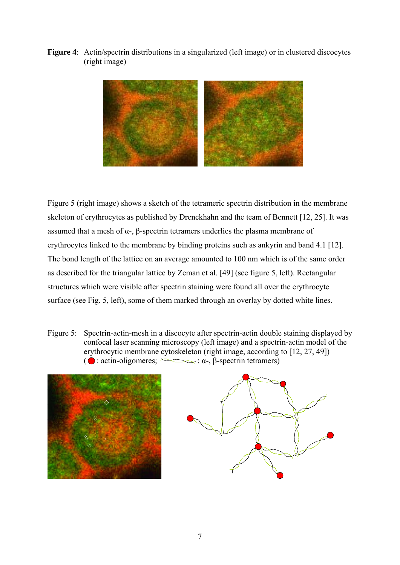**Figure 4**: Actin/spectrin distributions in a singularized (left image) or in clustered discocytes (right image)



Figure 5 (right image) shows a sketch of the tetrameric spectrin distribution in the membrane skeleton of erythrocytes as published by Drenckhahn and the team of Bennett [12, 25]. It was assumed that a mesh of  $\alpha$ -,  $\beta$ -spectrin tetramers underlies the plasma membrane of erythrocytes linked to the membrane by binding proteins such as ankyrin and band 4.1 [12]. The bond length of the lattice on an average amounted to 100 nm which is of the same order as described for the triangular lattice by Zeman et al. [49] (see figure 5, left). Rectangular structures which were visible after spectrin staining were found all over the erythrocyte surface (see Fig. 5, left), some of them marked through an overlay by dotted white lines.

Figure 5: Spectrin-actin-mesh in a discocyte after spectrin-actin double staining displayed by confocal laser scanning microscopy (left image) and a spectrin-actin model of the erythrocytic membrane cytoskeleton (right image, according to [12, 27, 49]) ( $\bigcirc$ : actin-oligomeres;  $\searrow$ :  $\alpha$ -,  $\beta$ -spectrin tetramers)



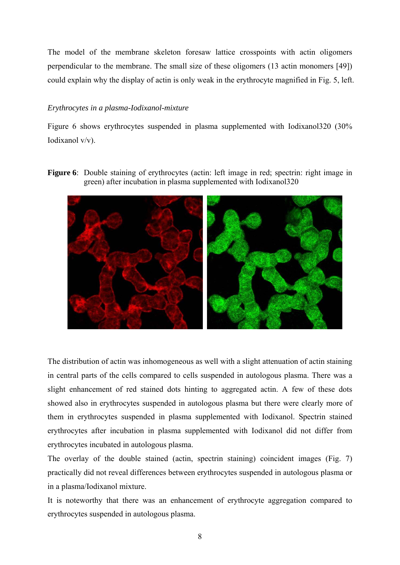The model of the membrane skeleton foresaw lattice crosspoints with actin oligomers perpendicular to the membrane. The small size of these oligomers (13 actin monomers [49]) could explain why the display of actin is only weak in the erythrocyte magnified in Fig. 5, left.

# *Erythrocytes in a plasma-Iodixanol-mixture*

Figure 6 shows erythrocytes suspended in plasma supplemented with Iodixanol320 (30% Iodixanol v/v).

**Figure 6**: Double staining of erythrocytes (actin: left image in red; spectrin: right image in green) after incubation in plasma supplemented with Iodixanol320



The distribution of actin was inhomogeneous as well with a slight attenuation of actin staining in central parts of the cells compared to cells suspended in autologous plasma. There was a slight enhancement of red stained dots hinting to aggregated actin. A few of these dots showed also in erythrocytes suspended in autologous plasma but there were clearly more of them in erythrocytes suspended in plasma supplemented with Iodixanol. Spectrin stained erythrocytes after incubation in plasma supplemented with Iodixanol did not differ from erythrocytes incubated in autologous plasma.

The overlay of the double stained (actin, spectrin staining) coincident images (Fig. 7) practically did not reveal differences between erythrocytes suspended in autologous plasma or in a plasma/Iodixanol mixture.

It is noteworthy that there was an enhancement of erythrocyte aggregation compared to erythrocytes suspended in autologous plasma.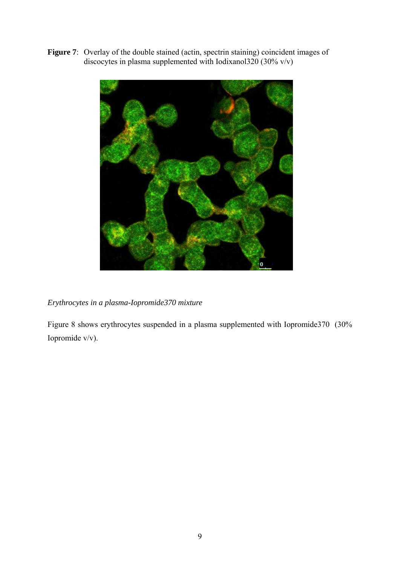Figure 7: Overlay of the double stained (actin, spectrin staining) coincident images of discocytes in plasma supplemented with Iodixanol320 (30% v/v)



*Erythrocytes in a plasma-Iopromide370 mixture* 

Figure 8 shows erythrocytes suspended in a plasma supplemented with Iopromide370 (30% Iopromide v/v).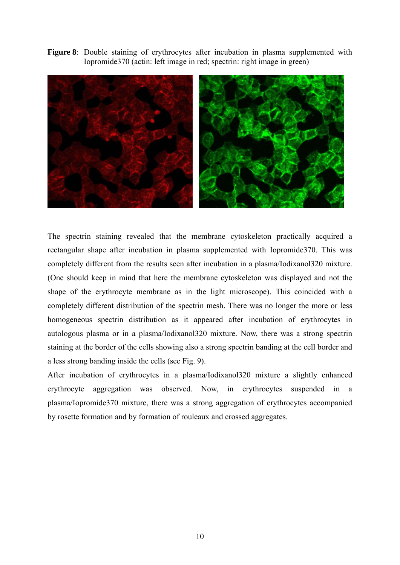**Figure 8**: Double staining of erythrocytes after incubation in plasma supplemented with Iopromide370 (actin: left image in red; spectrin: right image in green)



The spectrin staining revealed that the membrane cytoskeleton practically acquired a rectangular shape after incubation in plasma supplemented with Iopromide370. This was completely different from the results seen after incubation in a plasma/Iodixanol320 mixture. (One should keep in mind that here the membrane cytoskeleton was displayed and not the shape of the erythrocyte membrane as in the light microscope). This coincided with a completely different distribution of the spectrin mesh. There was no longer the more or less homogeneous spectrin distribution as it appeared after incubation of erythrocytes in autologous plasma or in a plasma/Iodixanol320 mixture. Now, there was a strong spectrin staining at the border of the cells showing also a strong spectrin banding at the cell border and a less strong banding inside the cells (see Fig. 9).

After incubation of erythrocytes in a plasma/Iodixanol320 mixture a slightly enhanced erythrocyte aggregation was observed. Now, in erythrocytes suspended in a plasma/Iopromide370 mixture, there was a strong aggregation of erythrocytes accompanied by rosette formation and by formation of rouleaux and crossed aggregates.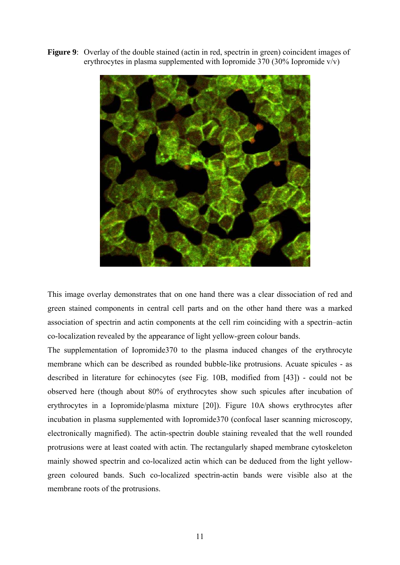**Figure 9**: Overlay of the double stained (actin in red, spectrin in green) coincident images of erythrocytes in plasma supplemented with Iopromide 370 (30% Iopromide v/v)



This image overlay demonstrates that on one hand there was a clear dissociation of red and green stained components in central cell parts and on the other hand there was a marked association of spectrin and actin components at the cell rim coinciding with a spectrin–actin co-localization revealed by the appearance of light yellow-green colour bands.

The supplementation of Iopromide370 to the plasma induced changes of the erythrocyte membrane which can be described as rounded bubble-like protrusions. Acuate spicules - as described in literature for echinocytes (see Fig. 10B, modified from [43]) - could not be observed here (though about 80% of erythrocytes show such spicules after incubation of erythrocytes in a Iopromide/plasma mixture [20]). Figure 10A shows erythrocytes after incubation in plasma supplemented with Iopromide370 (confocal laser scanning microscopy, electronically magnified). The actin-spectrin double staining revealed that the well rounded protrusions were at least coated with actin. The rectangularly shaped membrane cytoskeleton mainly showed spectrin and co-localized actin which can be deduced from the light yellowgreen coloured bands. Such co-localized spectrin-actin bands were visible also at the membrane roots of the protrusions.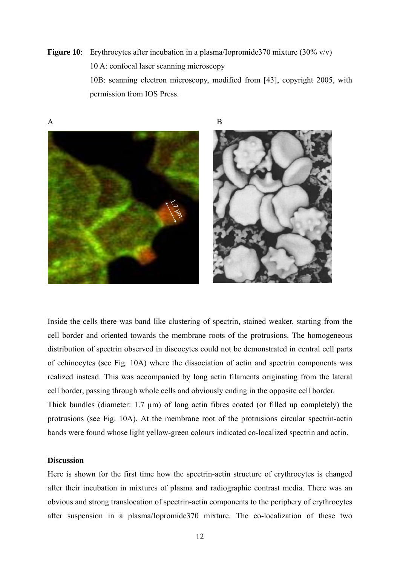**Figure 10**: Erythrocytes after incubation in a plasma/Iopromide370 mixture (30% v/v) 10 A: confocal laser scanning microscopy

 10B: scanning electron microscopy, modified from [43], copyright 2005, with permission from IOS Press.



Inside the cells there was band like clustering of spectrin, stained weaker, starting from the cell border and oriented towards the membrane roots of the protrusions. The homogeneous distribution of spectrin observed in discocytes could not be demonstrated in central cell parts of echinocytes (see Fig. 10A) where the dissociation of actin and spectrin components was realized instead. This was accompanied by long actin filaments originating from the lateral cell border, passing through whole cells and obviously ending in the opposite cell border. Thick bundles (diameter:  $1.7 \mu m$ ) of long actin fibres coated (or filled up completely) the protrusions (see Fig. 10A). At the membrane root of the protrusions circular spectrin-actin bands were found whose light yellow-green colours indicated co-localized spectrin and actin.

# **Discussion**

Here is shown for the first time how the spectrin-actin structure of erythrocytes is changed after their incubation in mixtures of plasma and radiographic contrast media. There was an obvious and strong translocation of spectrin-actin components to the periphery of erythrocytes after suspension in a plasma/Iopromide370 mixture. The co-localization of these two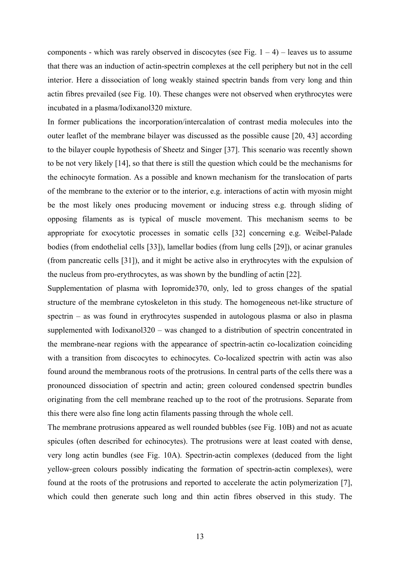components - which was rarely observed in discocytes (see Fig.  $1 - 4$ ) – leaves us to assume that there was an induction of actin-spectrin complexes at the cell periphery but not in the cell interior. Here a dissociation of long weakly stained spectrin bands from very long and thin actin fibres prevailed (see Fig. 10). These changes were not observed when erythrocytes were incubated in a plasma/Iodixanol320 mixture.

In former publications the incorporation/intercalation of contrast media molecules into the outer leaflet of the membrane bilayer was discussed as the possible cause [20, 43] according to the bilayer couple hypothesis of Sheetz and Singer [37]. This scenario was recently shown to be not very likely [14], so that there is still the question which could be the mechanisms for the echinocyte formation. As a possible and known mechanism for the translocation of parts of the membrane to the exterior or to the interior, e.g. interactions of actin with myosin might be the most likely ones producing movement or inducing stress e.g. through sliding of opposing filaments as is typical of muscle movement. This mechanism seems to be appropriate for exocytotic processes in somatic cells [32] concerning e.g. Weibel-Palade bodies (from endothelial cells [33]), lamellar bodies (from lung cells [29]), or acinar granules (from pancreatic cells [31]), and it might be active also in erythrocytes with the expulsion of the nucleus from pro-erythrocytes, as was shown by the bundling of actin [22].

Supplementation of plasma with Iopromide370, only, led to gross changes of the spatial structure of the membrane cytoskeleton in this study. The homogeneous net-like structure of spectrin – as was found in erythrocytes suspended in autologous plasma or also in plasma supplemented with Iodixanol320 – was changed to a distribution of spectrin concentrated in the membrane-near regions with the appearance of spectrin-actin co-localization coinciding with a transition from discocytes to echinocytes. Co-localized spectrin with actin was also found around the membranous roots of the protrusions. In central parts of the cells there was a pronounced dissociation of spectrin and actin; green coloured condensed spectrin bundles originating from the cell membrane reached up to the root of the protrusions. Separate from this there were also fine long actin filaments passing through the whole cell.

The membrane protrusions appeared as well rounded bubbles (see Fig. 10B) and not as acuate spicules (often described for echinocytes). The protrusions were at least coated with dense, very long actin bundles (see Fig. 10A). Spectrin-actin complexes (deduced from the light yellow-green colours possibly indicating the formation of spectrin-actin complexes), were found at the roots of the protrusions and reported to accelerate the actin polymerization [7], which could then generate such long and thin actin fibres observed in this study. The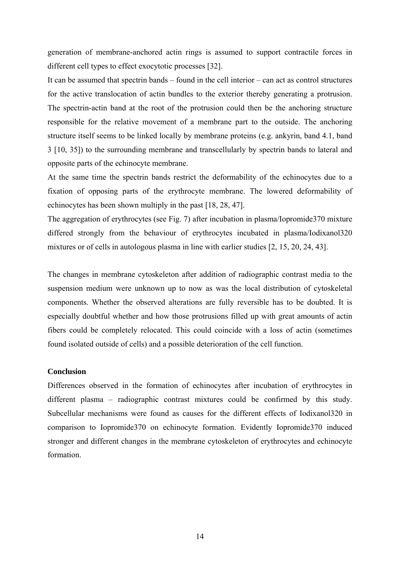generation of membrane-anchored actin rings is assumed to support contractile forces in different cell types to effect exocytotic processes [32].

It can be assumed that spectrin bands – found in the cell interior – can act as control structures for the active translocation of actin bundles to the exterior thereby generating a protrusion. The spectrin-actin band at the root of the protrusion could then be the anchoring structure responsible for the relative movement of a membrane part to the outside. The anchoring structure itself seems to be linked locally by membrane proteins (e.g. ankyrin, band 4.1, band 3 [10, 35]) to the surrounding membrane and transcellularly by spectrin bands to lateral and opposite parts of the echinocyte membrane.

At the same time the spectrin bands restrict the deformability of the echinocytes due to a fixation of opposing parts of the erythrocyte membrane. The lowered deformability of echinocytes has been shown multiply in the past [18, 28, 47].

The aggregation of erythrocytes (see Fig. 7) after incubation in plasma/Iopromide370 mixture differed strongly from the behaviour of erythrocytes incubated in plasma/Iodixanol320 mixtures or of cells in autologous plasma in line with earlier studies [2, 15, 20, 24, 43].

The changes in membrane cytoskeleton after addition of radiographic contrast media to the suspension medium were unknown up to now as was the local distribution of cytoskeletal components. Whether the observed alterations are fully reversible has to be doubted. It is especially doubtful whether and how those protrusions filled up with great amounts of actin fibers could be completely relocated. This could coincide with a loss of actin (sometimes found isolated outside of cells) and a possible deterioration of the cell function.

## **Conclusion**

Differences observed in the formation of echinocytes after incubation of erythrocytes in different plasma – radiographic contrast mixtures could be confirmed by this study. Subcellular mechanisms were found as causes for the different effects of Iodixanol320 in comparison to Iopromide370 on echinocyte formation. Evidently Iopromide370 induced stronger and different changes in the membrane cytoskeleton of erythrocytes and echinocyte formation.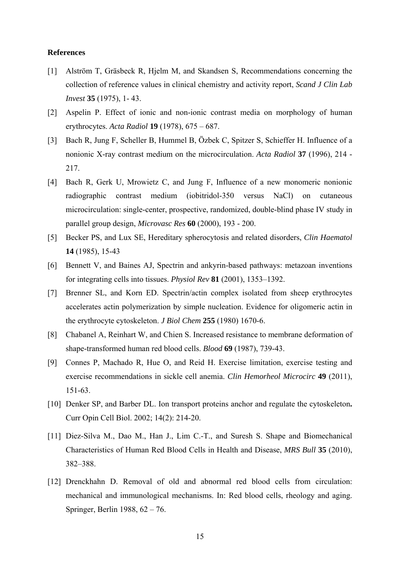#### **References**

- [1] Alström T, Gräsbeck R, Hjelm M, and Skandsen S, Recommendations concerning the collection of reference values in clinical chemistry and activity report, *Scand J Clin Lab Invest* **35** (1975), 1- 43.
- [2] Aspelin P. Effect of ionic and non-ionic contrast media on morphology of human erythrocytes. *Acta Radiol* **19** (1978), 675 – 687.
- [3] Bach R, Jung F, Scheller B, Hummel B, Özbek C, Spitzer S, Schieffer H. Influence of a nonionic X-ray contrast medium on the microcirculation. *Acta Radiol* **37** (1996), 214 - 217.
- [4] Bach R, Gerk U, Mrowietz C, and Jung F, Influence of a new monomeric nonionic radiographic contrast medium (iobitridol-350 versus NaCl) on cutaneous microcirculation: single-center, prospective, randomized, double-blind phase IV study in parallel group design, *Microvasc Res* **60** (2000), 193 - 200.
- [5] Becker PS, and Lux SE, Hereditary spherocytosis and related disorders, *Clin Haematol* **14** (1985), 15-43
- [6] Bennett V, and Baines AJ, Spectrin and ankyrin-based pathways: metazoan inventions for integrating cells into tissues. *Physiol Rev* **81** (2001), 1353–1392.
- [7] Brenner SL, and Korn ED. Spectrin/actin complex isolated from sheep erythrocytes accelerates actin polymerization by simple nucleation. Evidence for oligomeric actin in the erythrocyte cytoskeleton. *J Biol Chem* **255** (1980) 1670-6.
- [8] Chabanel A, Reinhart W, and Chien S. Increased resistance to membrane deformation of shape-transformed human red blood cells. *Blood* **69** (1987), 739-43.
- [9] Connes P, Machado R, Hue O, and Reid H. Exercise limitation, exercise testing and exercise recommendations in sickle cell anemia. *Clin Hemorheol Microcirc* **49** (2011), 151-63.
- [10] Denker SP, and Barber DL. Ion transport proteins anchor and regulate the cytoskeleton**.** Curr Opin Cell Biol. 2002; 14(2): 214-20.
- [11] Diez-Silva M., Dao M., Han J., Lim C.-T., and Suresh S. Shape and Biomechanical Characteristics of Human Red Blood Cells in Health and Disease, *MRS Bull* **35** (2010), 382–388.
- [12] Drenckhahn D. Removal of old and abnormal red blood cells from circulation: mechanical and immunological mechanisms. In: Red blood cells, rheology and aging. Springer, Berlin 1988, 62 – 76.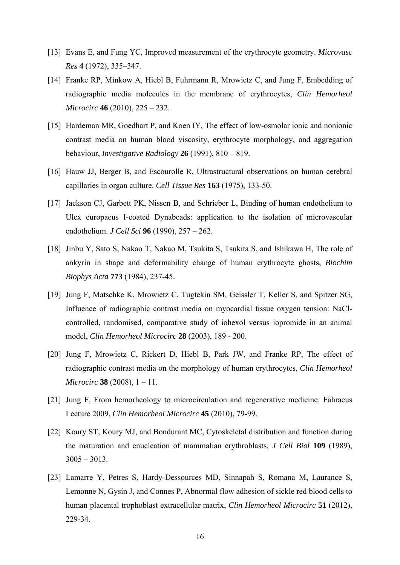- [13] Evans E, and Fung YC, Improved measurement of the erythrocyte geometry. *Microvasc Res* **4** (1972), 335–347.
- [14] Franke RP, Minkow A, Hiebl B, Fuhrmann R, Mrowietz C, and Jung F, Embedding of radiographic media molecules in the membrane of erythrocytes, *Clin Hemorheol Microcirc* **46** (2010), 225 – 232.
- [15] Hardeman MR, Goedhart P, and Koen IY, The effect of low-osmolar ionic and nonionic contrast media on human blood viscosity, erythrocyte morphology, and aggregation behaviour, *Investigative Radiology* **26** (1991), 810 – 819.
- [16] Hauw JJ, Berger B, and Escourolle R, Ultrastructural observations on human cerebral capillaries in organ culture. *Cell Tissue Res* **163** (1975), 133-50.
- [17] Jackson CJ, Garbett PK, Nissen B, and Schrieber L, Binding of human endothelium to Ulex europaeus I-coated Dynabeads: application to the isolation of microvascular endothelium. *J Cell Sci* **96** (1990), 257 – 262.
- [18] Jinbu Y, Sato S, Nakao T, Nakao M, Tsukita S, Tsukita S, and Ishikawa H, The role of ankyrin in shape and deformability change of human erythrocyte ghosts, *Biochim Biophys Acta* **773** (1984), 237-45.
- [19] Jung F, Matschke K, Mrowietz C, Tugtekin SM, Geissler T, Keller S, and Spitzer SG, Influence of radiographic contrast media on myocardial tissue oxygen tension: NaClcontrolled, randomised, comparative study of iohexol versus iopromide in an animal model, *Clin Hemorheol Microcirc* **28** (2003), 189 - 200.
- [20] Jung F, Mrowietz C, Rickert D, Hiebl B, Park JW, and Franke RP, The effect of radiographic contrast media on the morphology of human erythrocytes, *Clin Hemorheol Microcirc* **38** (2008), 1 – 11.
- [21] Jung F, From hemorheology to microcirculation and regenerative medicine: Fåhraeus Lecture 2009, *Clin Hemorheol Microcirc* **45** (2010), 79-99.
- [22] Koury ST, Koury MJ, and Bondurant MC, Cytoskeletal distribution and function during the maturation and enucleation of mammalian erythroblasts, *J Cell Biol* **109** (1989),  $3005 - 3013$ .
- [23] Lamarre Y, Petres S, Hardy-Dessources MD, Sinnapah S, Romana M, Laurance S, Lemonne N, Gysin J, and Connes P, Abnormal flow adhesion of sickle red blood cells to human placental trophoblast extracellular matrix, *Clin Hemorheol Microcirc* **51** (2012), 229-34.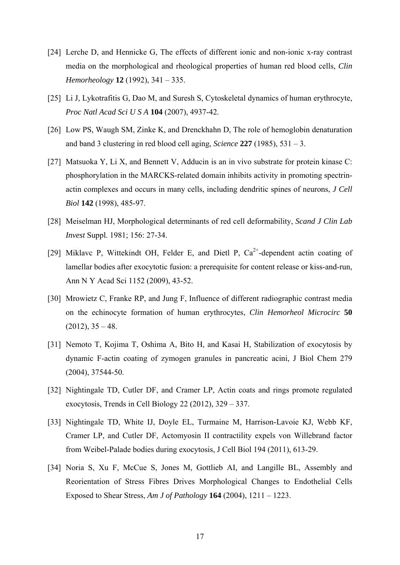- [24] Lerche D, and Hennicke G, The effects of different ionic and non-ionic x-ray contrast media on the morphological and rheological properties of human red blood cells, *Clin Hemorheology* **12** (1992), 341 – 335.
- [25] Li J, Lykotrafitis G, Dao M, and Suresh S, Cytoskeletal dynamics of human erythrocyte, *Proc Natl Acad Sci U S A* **104** (2007), 4937-42.
- [26] Low PS, Waugh SM, Zinke K, and Drenckhahn D, The role of hemoglobin denaturation and band 3 clustering in red blood cell aging, *Science* **227** (1985), 531 – 3.
- [27] Matsuoka Y, Li X, and Bennett V, Adducin is an in vivo substrate for protein kinase C: phosphorylation in the MARCKS-related domain inhibits activity in promoting spectrinactin complexes and occurs in many cells, including dendritic spines of neurons, *J Cell Biol* **142** (1998), 485-97.
- [28] Meiselman HJ, Morphological determinants of red cell deformability, *Scand J Clin Lab Invest* Suppl. 1981; 156: 27-34.
- [29] Miklavc P, Wittekindt OH, Felder E, and Dietl P,  $Ca^{2+}$ -dependent actin coating of lamellar bodies after exocytotic fusion: a prerequisite for content release or kiss-and-run, Ann N Y Acad Sci 1152 (2009), 43-52.
- [30] Mrowietz C, Franke RP, and Jung F, Influence of different radiographic contrast media on the echinocyte formation of human erythrocytes, *Clin Hemorheol Microcirc* **50**  $(2012), 35 - 48.$
- [31] Nemoto T, Kojima T, Oshima A, Bito H, and Kasai H, Stabilization of exocytosis by dynamic F-actin coating of zymogen granules in pancreatic acini, J Biol Chem 279 (2004), 37544-50.
- [32] Nightingale TD, Cutler DF, and Cramer LP, Actin coats and rings promote regulated exocytosis, Trends in Cell Biology 22 (2012), 329 – 337.
- [33] Nightingale TD, White IJ, Doyle EL, Turmaine M, Harrison-Lavoie KJ, Webb KF, Cramer LP, and Cutler DF, Actomyosin II contractility expels von Willebrand factor from Weibel-Palade bodies during exocytosis, J Cell Biol 194 (2011), 613-29.
- [34] Noria S, Xu F, McCue S, Jones M, Gottlieb AI, and Langille BL, Assembly and Reorientation of Stress Fibres Drives Morphological Changes to Endothelial Cells Exposed to Shear Stress, *Am J of Pathology* **164** (2004), 1211 – 1223.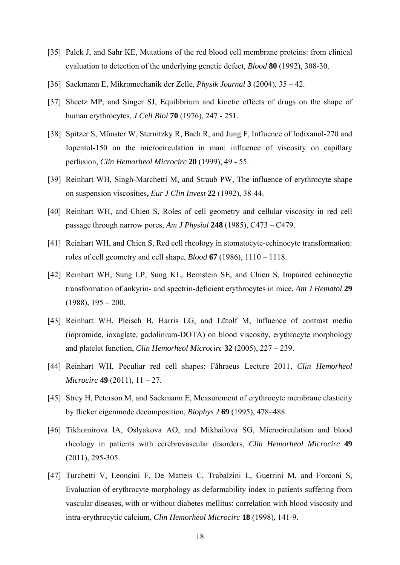- [35] Palek J, and Sahr KE, Mutations of the red blood cell membrane proteins: from clinical evaluation to detection of the underlying genetic defect, *Blood* **80** (1992), 308-30.
- [36] Sackmann E, Mikromechanik der Zelle, *Physik Journal* **3** (2004), 35 42.
- [37] Sheetz MP, and Singer SJ, Equilibrium and kinetic effects of drugs on the shape of human erythrocytes, *J Cell Biol* **70** (1976), 247 - 251.
- [38] Spitzer S, Münster W, Sternitzky R, Bach R, and Jung F, Influence of Iodixanol-270 and Iopentol-150 on the microcirculation in man: influence of viscosity on capillary perfusion, *Clin Hemorheol Microcirc* **20** (1999), 49 - 55.
- [39] Reinhart WH, Singh-Marchetti M, and Straub PW, The influence of erythrocyte shape on suspension viscosities**,** *Eur J Clin Invest* **22** (1992), 38-44.
- [40] Reinhart WH, and Chien S, Roles of cell geometry and cellular viscosity in red cell passage through narrow pores, *Am J Physiol* **248** (1985), C473 – C479.
- [41] Reinhart WH, and Chien S, Red cell rheology in stomatocyte-echinocyte transformation: roles of cell geometry and cell shape, *Blood* **67** (1986), 1110 – 1118.
- [42] Reinhart WH, Sung LP, Sung KL, Bernstein SE, and Chien S, Impaired echinocytic transformation of ankyrin- and spectrin-deficient erythrocytes in mice, *Am J Hematol* **29**  $(1988)$ ,  $195 - 200$ .
- [43] Reinhart WH, Pleisch B, Harris LG, and Lütolf M, Influence of contrast media (iopromide, ioxaglate, gadolinium-DOTA) on blood viscosity, erythrocyte morphology and platelet function, *Clin Hemorheol Microcirc* **32** (2005), 227 – 239.
- [44] Reinhart WH, Peculiar red cell shapes: Fåhraeus Lecture 2011, *Clin Hemorheol Microcirc* **49** (2011), 11 – 27.
- [45] Strey H, Peterson M, and Sackmann E, Measurement of erythrocyte membrane elasticity by flicker eigenmode decomposition, *Biophys J* **69** (1995), 478–488.
- [46] Tikhomirova IA, Oslyakova AO, and Mikhailova SG, Microcirculation and blood rheology in patients with cerebrovascular disorders, *Clin Hemorheol Microcirc* **49** (2011), 295-305.
- [47] Turchetti V, Leoncini F, De Matteis C, Trabalzini L, Guerrini M, and Forconi S, Evaluation of erythrocyte morphology as deformability index in patients suffering from vascular diseases, with or without diabetes mellitus: correlation with blood viscosity and intra-erythrocytic calcium, *Clin Hemorheol Microcirc* **18** (1998), 141-9.